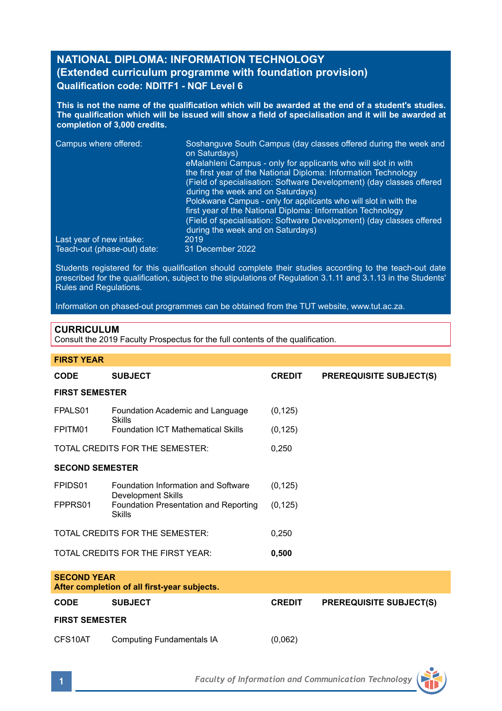# **NATIONAL DIPLOMA: INFORMATION TECHNOLOGY (Extended curriculum programme with foundation provision) Qualification code: NDITF1 - NQF Level 6**

**This is not the name of the qualification which will be awarded at the end of a student's studies. The qualification which will be issued will show a field of specialisation and it will be awarded at completion of 3,000 credits.**

| Campus where offered:       | Soshanguve South Campus (day classes offered during the week and<br>on Saturdays)                         |
|-----------------------------|-----------------------------------------------------------------------------------------------------------|
|                             | eMalahleni Campus - only for applicants who will slot in with                                             |
|                             | the first year of the National Diploma: Information Technology                                            |
|                             | (Field of specialisation: Software Development) (day classes offered                                      |
|                             | during the week and on Saturdays)                                                                         |
|                             | Polokwane Campus - only for applicants who will slot in with the                                          |
|                             | first year of the National Diploma: Information Technology                                                |
|                             | (Field of specialisation: Software Development) (day classes offered<br>during the week and on Saturdays) |
| Last year of new intake:    | 2019                                                                                                      |
| Teach-out (phase-out) date: | 31 December 2022                                                                                          |

Students registered for this qualification should complete their studies according to the teach-out date prescribed for the qualification, subject to the stipulations of Regulation 3.1.11 and 3.1.13 in the Students' Rules and Regulations.

Information on phased-out programmes can be obtained from the TUT website, www.tut.ac.za.

# **CURRICULUM**

Consult the 2019 Faculty Prospectus for the full contents of the qualification.

| <b>FIRST YEAR</b>                                                  |                                                                       |               |                                |  |  |
|--------------------------------------------------------------------|-----------------------------------------------------------------------|---------------|--------------------------------|--|--|
| <b>CODE</b>                                                        | <b>SUBJECT</b>                                                        | <b>CREDIT</b> | <b>PREREQUISITE SUBJECT(S)</b> |  |  |
| <b>FIRST SEMESTER</b>                                              |                                                                       |               |                                |  |  |
| FPALS01                                                            | Foundation Academic and Language<br>Skills                            | (0, 125)      |                                |  |  |
| FPITM01                                                            | <b>Foundation ICT Mathematical Skills</b>                             | (0, 125)      |                                |  |  |
| TOTAL CREDITS FOR THE SEMESTER:                                    |                                                                       | 0.250         |                                |  |  |
| <b>SECOND SEMESTER</b>                                             |                                                                       |               |                                |  |  |
| FPIDS01                                                            | Foundation Information and Software                                   | (0, 125)      |                                |  |  |
| FPPRS01                                                            | Development Skills<br>Foundation Presentation and Reporting<br>Skills | (0, 125)      |                                |  |  |
| TOTAL CREDITS FOR THE SEMESTER:                                    |                                                                       | 0.250         |                                |  |  |
| TOTAL CREDITS FOR THE FIRST YEAR:                                  |                                                                       | 0,500         |                                |  |  |
| <b>SECOND YEAR</b><br>After completion of all first-year subjects. |                                                                       |               |                                |  |  |
| <b>CODE</b>                                                        | <b>SUBJECT</b>                                                        | <b>CREDIT</b> | <b>PREREQUISITE SUBJECT(S)</b> |  |  |
| <b>FIRST SEMESTER</b>                                              |                                                                       |               |                                |  |  |
| CFS10AT                                                            | <b>Computing Fundamentals IA</b>                                      | (0,062)       |                                |  |  |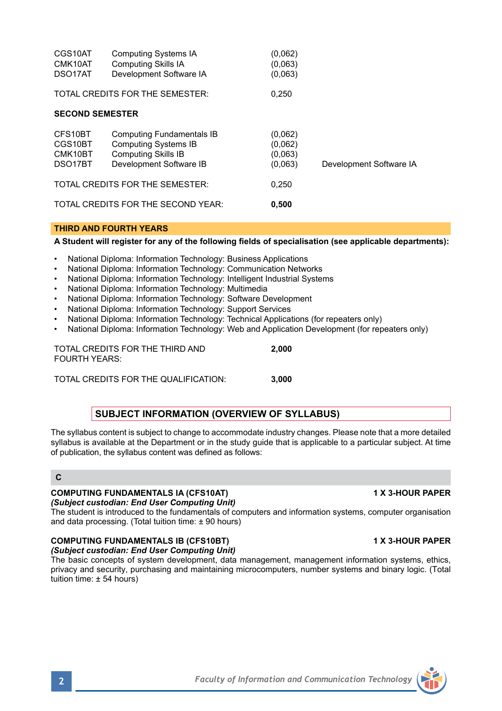| <b>FOURTH YEARS:</b>                              | TOTAL CREDITS FOR THE THIRD AND                              | 2.000                                                                                                                                                                                                                            |  |  |  |
|---------------------------------------------------|--------------------------------------------------------------|----------------------------------------------------------------------------------------------------------------------------------------------------------------------------------------------------------------------------------|--|--|--|
|                                                   | TOTAL CREDITS FOR THE QUALIFICATION:                         | 3.000                                                                                                                                                                                                                            |  |  |  |
| <b>SUBJECT INFORMATION (OVERVIEW OF SYLLABUS)</b> |                                                              |                                                                                                                                                                                                                                  |  |  |  |
|                                                   | of publication, the syllabus content was defined as follows: | The syllabus content is subject to change to accommodate industry changes. Please note that a more detailed<br>syllabus is available at the Department or in the study quide that is applicable to a particular subject. At time |  |  |  |

# **C**

# *(Subject custodian: End User Computing Unit)*

The student is introduced to the fundamentals of computers and information systems, computer organisation and data processing. (Total tuition time: ± 90 hours)

# **COMPUTING FUNDAMENTALS IB (CFS10BT) 1 X 3-HOUR PAPER**

*(Subject custodian: End User Computing Unit)*

The basic concepts of system development, data management, management information systems, ethics, privacy and security, purchasing and maintaining microcomputers, number systems and binary logic. (Total tuition time: ± 54 hours)

# **COMPUTING FUNDAMENTALS IA (CFS10AT) 1 X 3-HOUR PAPER**

| A Student will register for any of the following fields of specialisation (see applicable departments): |  |
|---------------------------------------------------------------------------------------------------------|--|

Development Software IB (0,063) Development Software IA

• National Diploma: Information Technology: Business Applications

CGS10AT Computing Systems IA (0,062)<br>CMK10AT Computing Skills IA (0.063) CMK10AT Computing Skills IA (0,063)<br>DSO17AT Development Software IA (0.063) Development Software IA TOTAL CREDITS FOR THE SEMESTER: 0,250

CFS10BT Computing Fundamentals IB (0,062)<br>CGS10BT Computing Systems IB (0.062) CGS10BT Computing Systems IB (0,062)<br>CMK10BT Computing Skills IB (0,063) CMK10BT Computing Skills IB (0,063)<br>DSO17BT Development Software IB (0,063)

TOTAL CREDITS FOR THE SEMESTER: 0,250 TOTAL CREDITS FOR THE SECOND YEAR: **0,500**

**SECOND SEMESTER**

**THIRD AND FOURTH YEARS**

- National Diploma: Information Technology: Communication Networks
- National Diploma: Information Technology: Intelligent Industrial Systems
- National Diploma: Information Technology: Multimedia
- National Diploma: Information Technology: Software Development
- National Diploma: Information Technology: Support Services
- National Diploma: Information Technology: Technical Applications (for repeaters only)
- National Diploma: Information Technology: Web and Application Development (for repeaters only)

| TOTAL CREDITS FOR THE THIRD AND | 2.000 |
|---------------------------------|-------|
| FOURTH YEARS:                   |       |
|                                 |       |

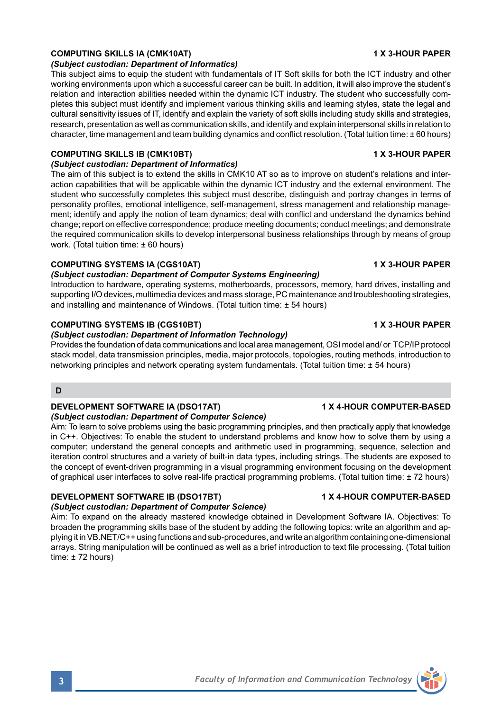### **COMPUTING SKILLS IA (CMK10AT) 1 X 3-HOUR PAPER**

#### *(Subject custodian: Department of Informatics)*

This subject aims to equip the student with fundamentals of IT Soft skills for both the ICT industry and other working environments upon which a successful career can be built. In addition, it will also improve the student's relation and interaction abilities needed within the dynamic ICT industry. The student who successfully completes this subject must identify and implement various thinking skills and learning styles, state the legal and cultural sensitivity issues of IT, identify and explain the variety of soft skills including study skills and strategies, research, presentation as well as communication skills, and identify and explain interpersonal skills in relation to character, time management and team building dynamics and conflict resolution. (Total tuition time: ± 60 hours)

### **COMPUTING SKILLS IB (CMK10BT) 1 X 3-HOUR PAPER**

### *(Subject custodian: Department of Informatics)*

The aim of this subject is to extend the skills in CMK10 AT so as to improve on student's relations and interaction capabilities that will be applicable within the dynamic ICT industry and the external environment. The student who successfully completes this subject must describe, distinguish and portray changes in terms of personality profiles, emotional intelligence, self-management, stress management and relationship management; identify and apply the notion of team dynamics; deal with conflict and understand the dynamics behind change; report on effective correspondence; produce meeting documents; conduct meetings; and demonstrate the required communication skills to develop interpersonal business relationships through by means of group work. (Total tuition time: ± 60 hours)

#### **COMPUTING SYSTEMS IA (CGS10AT) 1 X 3-HOUR PAPER**

#### *(Subject custodian: Department of Computer Systems Engineering)*

Introduction to hardware, operating systems, motherboards, processors, memory, hard drives, installing and supporting I/O devices, multimedia devices and mass storage, PC maintenance and troubleshooting strategies, and installing and maintenance of Windows. (Total tuition time: ± 54 hours)

#### **COMPUTING SYSTEMS IB (CGS10BT) 1 X 3-HOUR PAPER**

### *(Subject custodian: Department of Information Technology)*

Provides the foundation of data communications and local area management, OSI model and/ or TCP/IP protocol stack model, data transmission principles, media, major protocols, topologies, routing methods, introduction to networking principles and network operating system fundamentals. (Total tuition time: ± 54 hours)

# **D**

### **DEVELOPMENT SOFTWARE IA (DSO17AT) 1 X 4-HOUR COMPUTER-BASED**

#### *(Subject custodian: Department of Computer Science)*

Aim: To learn to solve problems using the basic programming principles, and then practically apply that knowledge in C++. Objectives: To enable the student to understand problems and know how to solve them by using a computer; understand the general concepts and arithmetic used in programming, sequence, selection and iteration control structures and a variety of built-in data types, including strings. The students are exposed to the concept of event-driven programming in a visual programming environment focusing on the development of graphical user interfaces to solve real-life practical programming problems. (Total tuition time: ± 72 hours)

# **DEVELOPMENT SOFTWARE IB (DSO17BT) 1 X 4-HOUR COMPUTER-BASED**

#### *(Subject custodian: Department of Computer Science)*

Aim: To expand on the already mastered knowledge obtained in Development Software IA. Objectives: To broaden the programming skills base of the student by adding the following topics: write an algorithm and applying it in VB.NET/C++ using functions and sub-procedures, and write an algorithm containing one-dimensional arrays. String manipulation will be continued as well as a brief introduction to text file processing. (Total tuition time:  $± 72$  hours)